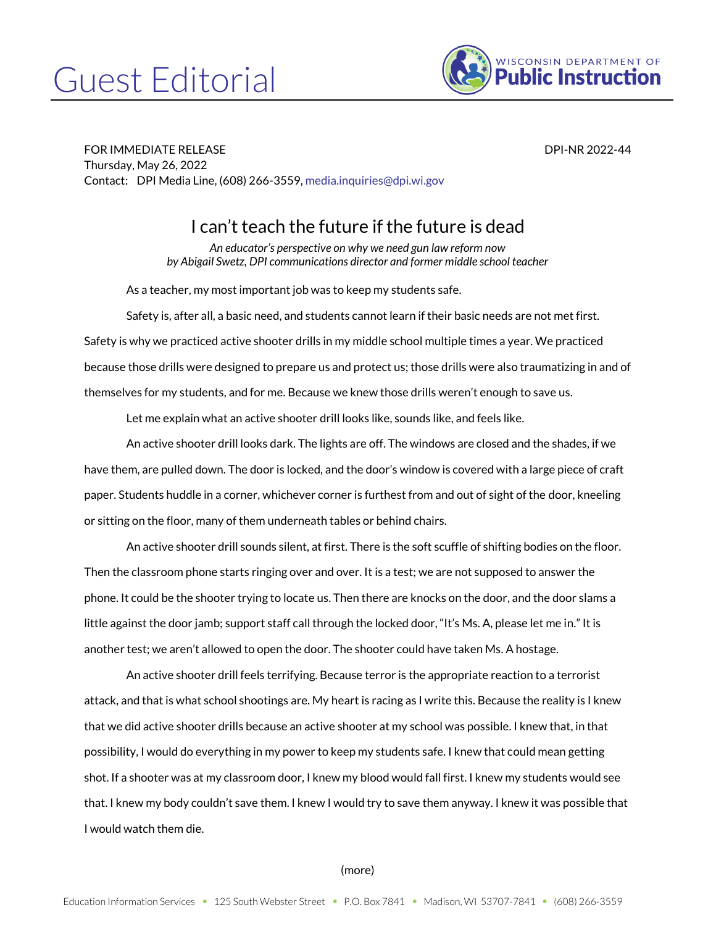## Guest Editorial



FOR IMMEDIATE RELEASE DPI-NR 2022-44 Thursday, May 26, 2022 Contact: DPI Media Line, (608) 266-3559[, media.inquiries@dpi.wi.gov](mailto:media.inquiries@dpi.wi.gov)

## I can't teach the future if the future is dead

*An educator's perspective on why we need gun law reform now by Abigail Swetz, DPI communications director and former middle school teacher*

As a teacher, my most important job was to keep my students safe.

Safety is, after all, a basic need, and students cannot learn if their basic needs are not met first. Safety is why we practiced active shooter drills in my middle school multiple times a year. We practiced because those drills were designed to prepare us and protect us; those drills were also traumatizing in and of themselves for my students, and for me. Because we knew those drills weren't enough to save us.

Let me explain what an active shooter drill looks like, sounds like, and feels like.

An active shooter drill looks dark. The lights are off. The windows are closed and the shades, if we have them, are pulled down. The door is locked, and the door's window is covered with a large piece of craft paper. Students huddle in a corner, whichever corner is furthest from and out of sight of the door, kneeling or sitting on the floor, many of them underneath tables or behind chairs.

An active shooter drill sounds silent, at first. There is the soft scuffle of shifting bodies on the floor. Then the classroom phone starts ringing over and over. It is a test; we are not supposed to answer the phone. It could be the shooter trying to locate us. Then there are knocks on the door, and the door slams a little against the door jamb; support staff call through the locked door, "It's Ms. A, please let me in." It is another test; we aren't allowed to open the door. The shooter could have taken Ms. A hostage.

An active shooter drill feels terrifying. Because terror is the appropriate reaction to a terrorist attack, and that is what school shootings are. My heart is racing as I write this. Because the reality is I knew that we did active shooter drills because an active shooter at my school was possible. I knew that, in that possibility, I would do everything in my power to keep my students safe. I knew that could mean getting shot. If a shooter was at my classroom door, I knew my blood would fall first. I knew my students would see that. I knew my body couldn't save them. I knew I would try to save them anyway. I knew it was possible that I would watch them die.

## (more)